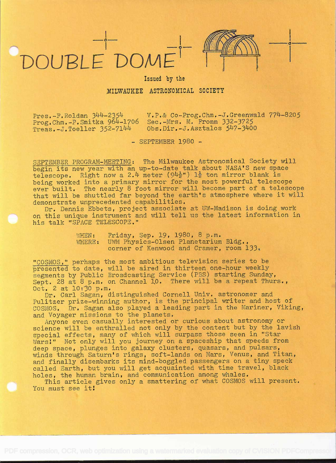

**i** in the second second

Issued by the

## MILWAUKEE ASTRONOMICAL SOCIETY

 $Treas.-J.Toeller 352-7144$ 

Pres.-F.Roldan 344-2354 V.P.& Co-Prog.Chm.-J.Greenwald 774-8205<br>Prog.Chm.-P.Smitka 964-1706 Sec.-Mrs. M. Fromm 332-3725 Prog.Chm.-P.Smitka 964-1706 Sec.-Mrs. M. Fromm 332-3725<br>Treas.-J.Toeller 352-7144 0bs.Dir.-J.Asztalos 547-3400

- SEPTEMBER 1980 -

SEPTEMBER PROGRAM-MEETING: The Milwaukee Astronomical Society will begin its new year with an up-to-date talk about NASA'S new space telescope. Right now a 2.4 meter  $(94\frac{1}{2}$ ")  $1\frac{1}{2}$  ton mirror blank is being worked into a primary mirror for the most powerful telescope ever built. The nearly 8 foot mirror will become part of a telescope that will be shuttled far beyond the earth's atmosphere where it will demonstrate unprecedented capabilities.

Dr. Dennis Ebbets, project associate at UW-Madison is doing work on this unique instrument and will tell us the latest information in his talk "SPACE TELESCOPE."

> WHEN: Friday, Sep. 19, 1980, 8 p.m. WHERE: UWM Physics-Olsen Planetarium Bldg., corner of Kenwood and Cramer, room 133.

"COSMOS." perhaps the most ambitious television series to be presented to date, will be aired in thirteen one-hour weekly segments by Public Broadcasting Service (PBS) starting Sunday, Sept. 28 at 8 p.m. on Channel 10. There will be a repeat Thurs., Oct. 2 at 10:'30 p.m.

Dr. Carl Sagan, distinguished Cornell Univ. astronomer and Pulitzer prize-winning author, is the principal writer and host of COSMOS. Dr. Sagan also played a leading part in the Mariner, Viking, and Voyager missions to the planets.

Anyone even casually interested or curious about astronomy or science will be enthralled not only by the content but by the lavish special effects, many of which will surpass those seen in "Star Wars!" Not only will you journey on a spaceship that speeds from deep space, plunges into galaxy clusters, quasars, and pulsars, winds through Saturn's rings, soft-lands on Mars, Venus, and Titan, and finally disembarks its mind-boggled passengers on a tiny speck called Earth, but you will get acquainted with time travel, black holes, the human brain, and communication among whales.

This article gives only a smattering of what COSMOS will present. You must see it!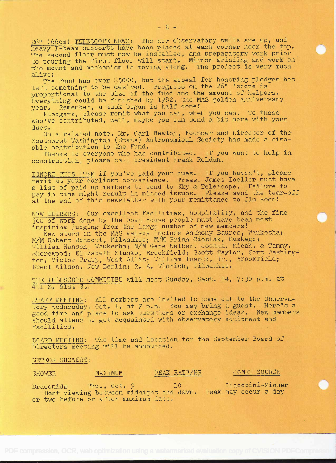26" (66cm) TELESCOPE NEWS: The new observatory walls are up, and heavy I-beam supports have been placed at each corner near the top. The second floor must now be installed, and preparatory work prior to pouring the first floor will start. Mirror grinding and work on the mount and mechanism is moving along. The project is very much alive!

The Fund has over 55000, but the appeal for honoring pledges has left something to be desired. Progress on the 26" 'scope is proportional to the size of the fund and the amount of helpers. Everything could be finished by 1982, the MAS golden anniversary year. Remember, a task begun is half done!

Pledgers, please remit what you can, when you can. To those who've contributed, well, maybe you can send a bit more with your dues.

On a related note, Mr. Carl Newton, Founder and Director of the Southwest Washington (State) Astronomical Society has made a sizeable contribution to the Fund.

Thanks to everyone who has contributed. If you want to help in construction, please call president Frank Roldan.

IGNORE THIS ITEM if you've paid your dues. If you haven't, please remit at your earliest convenience. Treas. James Toeller must have <sup>a</sup>list of paid up members to send to Sky & Telescope. Failure to pay in time might result in missed issues. Please send the tear-off at the end of this newsletter with your remittance to Jim soon!

NEW MEMBERS: Our excellent facilities, hospitality, and the fine job of work done by the Open House people must have been most inspiring judging from the large number of new members!

New stars in the MAS galaxy include Anthony Baures, Waukesha; M/M Robert Bennett, Milwaukee; M/M Brian Cieslak, Muskego; William Hanson, Waukesha; M/M Gene Kelber, Joshua, Micah, & Tammy, Shorewood; Elizabeth Stanko, Brookfield; Scott Taylor, Port Washington; Victor Trapp, West Allis; William Tuerck, Jr., Brookfield; Brent Wilson, New Berlin; R. A. Winrich, Milwaukee.

THE TELESCOPE COMMITTEE will meet Sunday, Sept. 14, 7:30 p.m. at 411 S. 61st St.

STAFF MEETING: All members are invited to come out to the Observatory Wednesday, Oct. 1, at 7 p.m. You may bring a guest. Here's a good time and place to ask questions or exchange ideas. New members should attend to get acquainted with observatory equipment and facilities.

BOARD MEETING: The time and location for the September Board of Directors meeting will be announced.

METEOR SHOWERS:

## SHOWER MAXIMUM PEAK RATE/HR COMET SOURCE

Draconids Thu., Oct. 9 10 Giacobini-Zinner Best viewing between midnight and dawn. Peak may occur a day or two before or after maximum date.